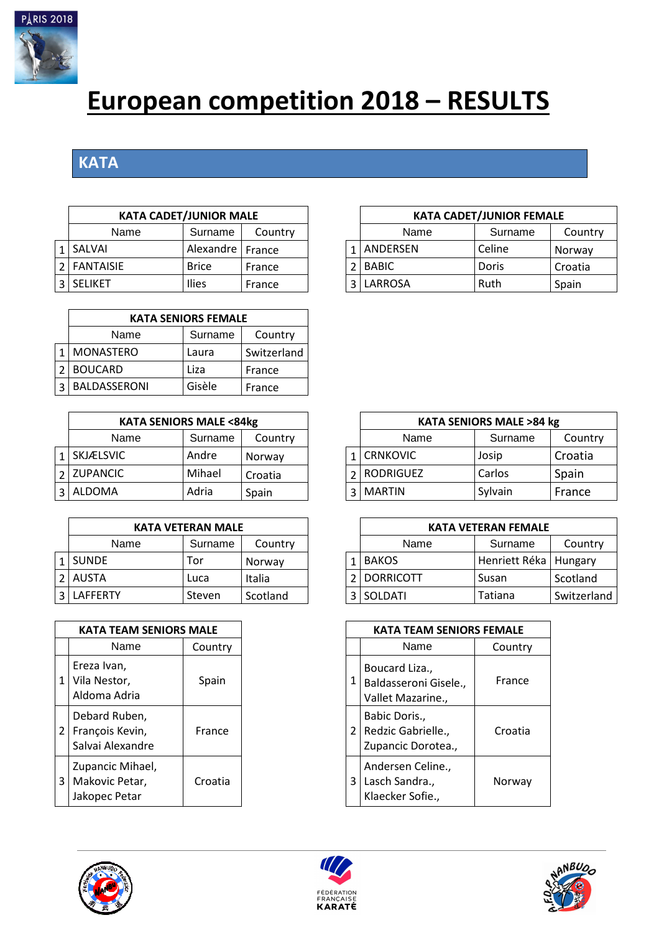

## **European competition 2018 – RESULTS**

## **KATA**

| <b>KATA CADET/JUNIOR MALE</b> |                    |         |  | <b>KATA CADET/JUNIOR FEMALE</b> |         |        |  |  |
|-------------------------------|--------------------|---------|--|---------------------------------|---------|--------|--|--|
| Name                          | Surname            | Country |  | Name                            | Surname | Cou    |  |  |
| 1 SALVAI                      | Alexandre   France |         |  | ANDERSEN                        | Celine  | Norwa  |  |  |
| 2 FANTAISIE                   | <b>Brice</b>       | France  |  | <b>BABIC</b>                    | Doris   | Croati |  |  |
| 3 SELIKET                     | Ilies              | France  |  | LARROSA                         | Ruth    | Spain  |  |  |

| <b>KATA SENIORS FEMALE</b> |         |             |  |  |  |  |  |  |  |  |
|----------------------------|---------|-------------|--|--|--|--|--|--|--|--|
| Name                       | Surname | Country     |  |  |  |  |  |  |  |  |
| <b>MONASTERO</b>           | Laura   | Switzerland |  |  |  |  |  |  |  |  |
| <b>BOUCARD</b>             | Liza    | France      |  |  |  |  |  |  |  |  |
| BALDASSERONI               | Gisèle  | France      |  |  |  |  |  |  |  |  |

| <b>KATA SENIORS MALE &lt;84kg</b> |         |         |  | <b>KATA SENIORS MALE &gt;84 kg</b> |         |         |  |  |  |
|-----------------------------------|---------|---------|--|------------------------------------|---------|---------|--|--|--|
| Name                              | Surname | Country |  | Name                               | Surname | Count   |  |  |  |
| I I SKJÆLSVIC-                    | Andre   | Norway  |  | 1 CRNKOVIC                         | Josip   | Croatia |  |  |  |
| 2 ZUPANCIC                        | Mihael  | Croatia |  | 2 RODRIGUEZ                        | Carlos  | Spain   |  |  |  |
| 3 ALDOMA                          | Adria   | Spain   |  | 3   MARTIN                         | Sylvain | France  |  |  |  |

|              | <b>KATA VETERAN MALE</b> |          |  |                  | <b>KATA VETERAN FEMALE</b> |
|--------------|--------------------------|----------|--|------------------|----------------------------|
| Name         | Surname                  | Country  |  | Name             | Surname                    |
| <b>SUNDE</b> | Tor                      | Norway   |  | <b>BAKOS</b>     | Henriett Réka              |
| <b>AUSTA</b> | Luca                     | Italia   |  | <b>DORRICOTT</b> | Susan                      |
| LAFFERTY     | Steven                   | Scotland |  | 3 SOLDATI        | Tatiana                    |

|   | KATA TEAM SENIORS MALE                               |         |
|---|------------------------------------------------------|---------|
|   | Name                                                 | Country |
|   | Ereza Ivan,<br>Vila Nestor,<br>Aldoma Adria          | Spain   |
| 2 | Debard Ruben,<br>François Kevin,<br>Salvai Alexandre | France  |
| 3 | Zupancic Mihael,<br>Makovic Petar,<br>Jakopec Petar  | Croatia |



| <b>KATA SENIORS MALE &lt;84kg</b> |         |         |  | <b>KATA SENIORS MALE &gt;84 kg</b> |         |         |  |  |  |  |
|-----------------------------------|---------|---------|--|------------------------------------|---------|---------|--|--|--|--|
| Name                              | Surname | Country |  | Name                               | Surname | Country |  |  |  |  |
| 1   SKJÆLSVIC                     | Andre   | Norway  |  | <b>CRNKOVIC</b>                    | Josip   | Croatia |  |  |  |  |
| 2 ZUPANCIC                        | Mihael  | Croatia |  | <b>RODRIGUEZ</b>                   | Carlos  | Spain   |  |  |  |  |
| 3 ALDOMA                          | Adria   | Spain   |  | <b>MARTIN</b>                      | Sylvain | France  |  |  |  |  |

|              | <b>KATA VETERAN MALE</b> |          |  |  | <b>KATA VETERAN FEMALE</b> |                         |             |  |  |  |
|--------------|--------------------------|----------|--|--|----------------------------|-------------------------|-------------|--|--|--|
| Name         | Surname                  | Country  |  |  | Name                       | Surname                 | Country     |  |  |  |
| 1 SUNDE      | Tor                      | Norway   |  |  | <b>BAKOS</b>               | Henriett Réka   Hungary |             |  |  |  |
| 2 AUSTA      | Luca                     | Italia   |  |  | 2   DORRICOTT              | Susan                   | Scotland    |  |  |  |
| 3   LAFFERTY | Steven                   | Scotland |  |  | 3 SOLDATI                  | Tatiana                 | Switzerland |  |  |  |

| <b>KATA TEAM SENIORS MALE</b>                     |         | <b>KATA TEAM SENIORS FEMALE</b> |                                                              |         |  |  |
|---------------------------------------------------|---------|---------------------------------|--------------------------------------------------------------|---------|--|--|
| Name                                              | Country |                                 | Name                                                         | Country |  |  |
| reza Ivan,<br>'ila Nestor,<br>Idoma Adria         | Spain   |                                 | Boucard Liza.,<br>Baldasseroni Gisele.,<br>Vallet Mazarine., | France  |  |  |
| ebard Ruben,<br>rançois Kevin,<br>alvai Alexandre | France  | $\overline{2}$                  | Babic Doris.,<br>Redzic Gabrielle.,<br>Zupancic Dorotea.,    | Croatia |  |  |
| upancic Mihael,<br>Aakovic Petar,<br>akopec Petar | Croatia | 3                               | Andersen Celine.,<br>Lasch Sandra.,<br>Klaecker Sofie.,      | Norway  |  |  |





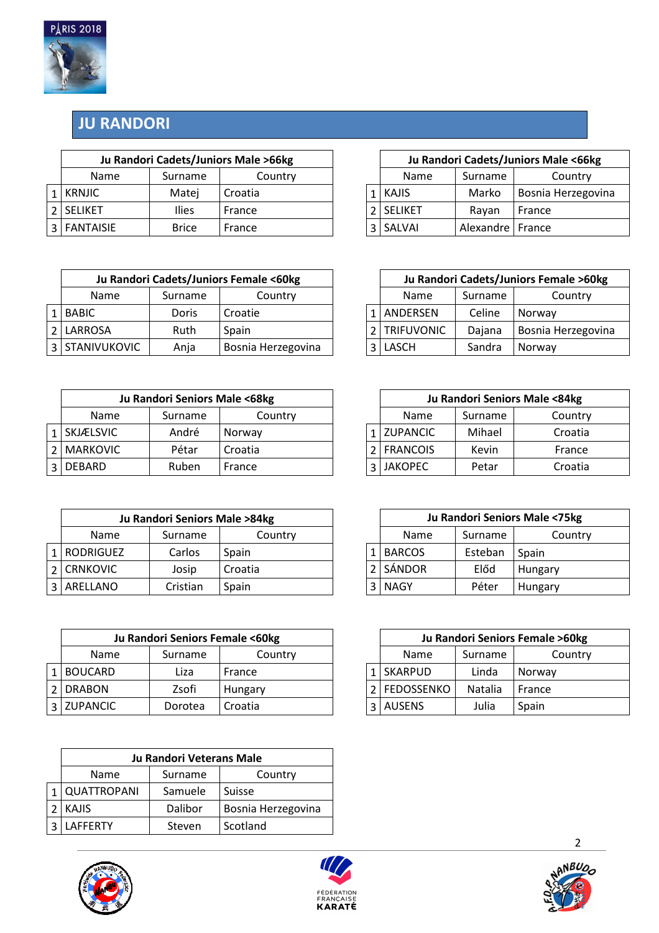

## **JU RANDORI**

| Ju Randori Cadets/Juniors Male >66kg |              |         |  | Ju Randori Cadets/Juniors Male <66kg |             |                    |  |
|--------------------------------------|--------------|---------|--|--------------------------------------|-------------|--------------------|--|
| <b>Name</b>                          | Surname      | Country |  | Name                                 | Surname     | Country            |  |
| 1 KRNJIC                             | Matei        | Croatia |  | KAJIS                                | Marko       | Bosnia Herzegovina |  |
| 2 SELIKET                            | <b>Ilies</b> | France  |  | <b>SELIKET</b>                       | Ravan       | France             |  |
| 3   FANTAISIE                        | <b>Brice</b> | France  |  | 3 SALVAI                             | Alexandre I | France             |  |

| Ju Randori Cadets/Juniors Female <60kg |         |                    |  | Ju Randori Cadets/Juniors Female >60kg |         |                    |  |
|----------------------------------------|---------|--------------------|--|----------------------------------------|---------|--------------------|--|
| <b>Name</b>                            | Surname | Country            |  | Name                                   | Surname | Country            |  |
| 1 BABIC                                | Doris   | Croatie            |  | ANDERSEN                               | Celine  | Norway             |  |
| 2 LARROSA                              | Ruth    | Spain              |  | <b>TRIFUVONIC</b>                      | Dajana  | Bosnia Herzegovina |  |
| 3 STANIVUKOVIC                         | Anja    | Bosnia Herzegovina |  | <b>LASCH</b>                           | Sandra  | Norway             |  |

| Ju Randori Seniors Male <68kg |         |         |                 |         | Ju Randori Seniors Male <84kg |
|-------------------------------|---------|---------|-----------------|---------|-------------------------------|
| Name                          | Surname | Country | Name            | Surname | Country                       |
| 1 SKJÆLSVIC                   | André   | Norway  | 1 ZUPANCIC      | Mihael  | Croatia                       |
| 2   MARKOVIC                  | Pétar   | Croatia | <b>FRANCOIS</b> | Kevin   | France                        |
| 3 DEBARD                      | Ruben   | France  | <b>JAKOPEC</b>  | Petar   | Croatia                       |

| Ju Randori Seniors Male >84kg |          |         |  |               |         | Ju Randori Seniors Male <75kg |
|-------------------------------|----------|---------|--|---------------|---------|-------------------------------|
| <b>Name</b>                   | Surname  | Country |  | <b>Name</b>   | Surname | Country                       |
| RODRIGUEZ                     | Carlos   | Spain   |  | <b>BARCOS</b> | Esteban | Spain                         |
| <b>CRNKOVIC</b>               | Josip    | Croatia |  | SÁNDOR        | Előd    | Hungary                       |
| 3   ARELLANO                  | Cristian | Spain   |  | <b>NAGY</b>   | Péter   | Hungary                       |

| Ju Randori Seniors Female <60kg |         |         |  |                   |         | Ju Randori Seniors Female >60kg |
|---------------------------------|---------|---------|--|-------------------|---------|---------------------------------|
| Name                            | Surname | Country |  | <b>Name</b>       | Surname | Country                         |
| <b>BOUCARD</b>                  | Liza    | France  |  | <b>SKARPUD</b>    | Linda   | Norway                          |
| 2 DRABON                        | Zsofi   | Hungary |  | <b>FEDOSSENKO</b> | Natalia | France                          |
| 3 ZUPANCIC                      | Dorotea | Croatia |  | <b>AUSENS</b>     | Julia   | Spain                           |

| Ju Randori Veterans Male |         |                    |  |  |  |  |  |  |
|--------------------------|---------|--------------------|--|--|--|--|--|--|
| <b>Name</b>              | Surname | Country            |  |  |  |  |  |  |
| QUATTROPANI              | Samuele | Suisse             |  |  |  |  |  |  |
| <b>KAJIS</b>             | Dalibor | Bosnia Herzegovina |  |  |  |  |  |  |
| LAFFFRTY                 | Steven  | Scotland           |  |  |  |  |  |  |





| Ju Randori Cadets/Juniors Male >66kg |       |         |  |             |                    |         | Ju Randori Cadets/Juniors Male <66kg |
|--------------------------------------|-------|---------|--|-------------|--------------------|---------|--------------------------------------|
| Country<br>Surname<br>ame            |       |         |  | Name        | Surname            | Country |                                      |
|                                      | Matei | Croatia |  |             | $1$   KAJIS        | Marko   | Bosnia Herzegovina                   |
| <b>Ilies</b><br>France               |       |         |  | 2   SELIKET | Ravan              | France  |                                      |
| <b>SIE</b><br><b>Brice</b><br>France |       |         |  | 3 SALVAI    | Alexandre   France |         |                                      |

| Ju Randori Cadets/Juniors Female <60kg       |       |         |      | Ju Randori Cadets/Juniors Female >60kg |         |                           |  |
|----------------------------------------------|-------|---------|------|----------------------------------------|---------|---------------------------|--|
| <b>Jame</b><br>Country<br>Surname            |       |         | Name | Surname                                | Country |                           |  |
|                                              | Doris | Croatie |      | 1 ANDERSEN                             | Celine  | Norway                    |  |
| JSA                                          | Ruth  | Spain   |      | <b>TRIFUVONIC</b>                      | Dajana  | <b>Bosnia Herzegovina</b> |  |
| <b>VUKOVIC</b><br>Bosnia Herzegovina<br>Anja |       |         |      | 3 LASCH                                | Sandra  | Norway                    |  |

| Ju Randori Seniors Male <68kg |         |         |  |  |                 | Ju Randori Seniors Male <84kg |         |  |  |  |  |
|-------------------------------|---------|---------|--|--|-----------------|-------------------------------|---------|--|--|--|--|
|                               | Surname | Country |  |  | <b>Name</b>     | Surname                       | Country |  |  |  |  |
|                               | André   | Norway  |  |  | 1 ZUPANCIC      | Mihael                        | Croatia |  |  |  |  |
|                               | Pétar   | Croatia |  |  | <b>FRANCOIS</b> | Kevin                         | France  |  |  |  |  |
| Ruben<br>France               |         |         |  |  | <b>JAKOPEC</b>  | Petar                         | Croatia |  |  |  |  |

| Ju Randori Seniors Male >84kg |        |         |  |             |               |         | Ju Randori Seniors Male <75kg |  |
|-------------------------------|--------|---------|--|-------------|---------------|---------|-------------------------------|--|
| Country<br>Surname            |        |         |  | <b>Name</b> | Surname       | Country |                               |  |
|                               | Carlos | Spain   |  |             | <b>BARCOS</b> | Esteban | Spain                         |  |
|                               | Josip  | Croatia |  |             | SÁNDOR        | Előd    | Hungary                       |  |
| Cristian<br>Spain             |        |         |  | NAGY        | Péter         | Hungary |                               |  |

| Ju Randori Seniors Female <60kg |         |         |  |  |                 |         | Ju Randori Seniors Female >60kg |
|---------------------------------|---------|---------|--|--|-----------------|---------|---------------------------------|
| e                               | Surname | Country |  |  | Name<br>Surname |         | Country                         |
|                                 | Liza    | France  |  |  | 1 SKARPUD       | Linda   | Norway                          |
|                                 | Zsofi   | Hungary |  |  | 2 FEDOSSENKO    | Natalia | France                          |
|                                 | Dorotea | Croatia |  |  | 3 AUSENS        | Julia   | Spain                           |

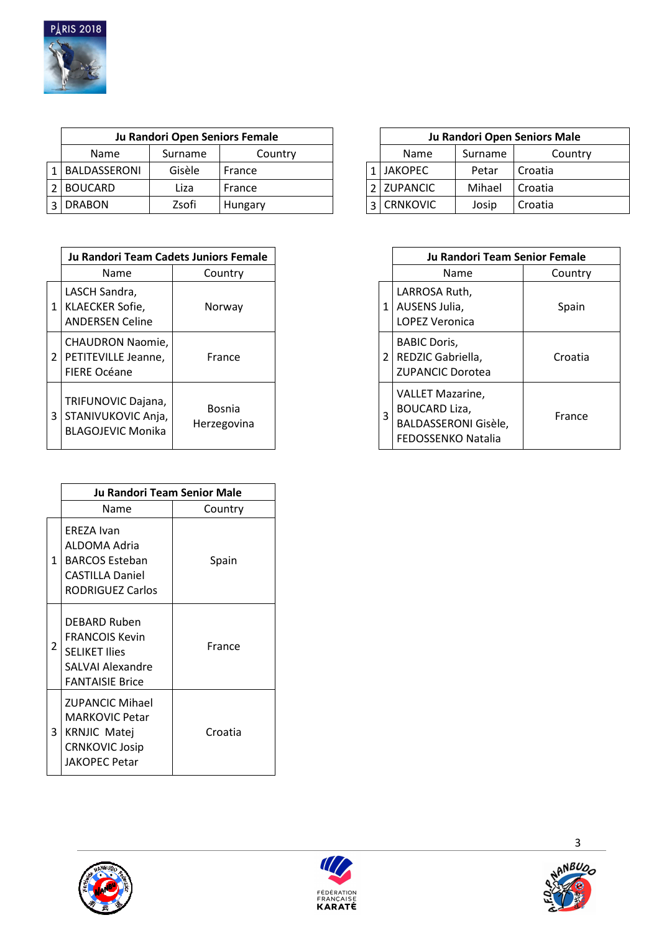

| Ju Randori Open Seniors Female |         |         |                |         | Ju Randori Open Seniors Male |
|--------------------------------|---------|---------|----------------|---------|------------------------------|
| <b>Name</b>                    | Surname | Country | <b>Name</b>    | Surname | Country                      |
| BALDASSERONI                   | Gisèle  | France  | <b>JAKOPEC</b> | Petar   | Croatia                      |
| <b>BOUCARD</b>                 | Liza    | France  | 2 ZUPANCIC     | Mihael  | Croatia                      |
| <b>DRABON</b>                  | Zsofi   | Hungary | l CRNKOVIC     | Josip   | Croatia                      |

|                | Ju Randori Team Cadets Juniors Female                                 |                              |  |  |
|----------------|-----------------------------------------------------------------------|------------------------------|--|--|
|                | Name                                                                  | Country                      |  |  |
| 1              | LASCH Sandra,<br>KLAECKER Sofie,<br><b>ANDERSEN Celine</b>            | Norway                       |  |  |
| $\overline{2}$ | <b>CHAUDRON Naomie,</b><br>PETITEVILLE Jeanne,<br><b>FIERE Océane</b> | France                       |  |  |
| 3              | TRIFUNOVIC Dajana,<br>STANIVUKOVIC Anja,<br><b>BLAGOJEVIC Monika</b>  | <b>Bosnia</b><br>Herzegovina |  |  |

|   | <b>Ju Randori Team Senior Male</b>                                                                                      |         |  |  |  |  |  |
|---|-------------------------------------------------------------------------------------------------------------------------|---------|--|--|--|--|--|
|   | Name                                                                                                                    | Country |  |  |  |  |  |
| 1 | EREZA Ivan<br>ALDOMA Adria<br><b>BARCOS Esteban</b><br>CASTILLA Daniel<br><b>RODRIGUEZ Carlos</b>                       | Spain   |  |  |  |  |  |
| 2 | DEBARD Ruben<br><b>FRANCOIS Kevin</b><br><b>SELIKET Ilies</b><br>SALVAI Alexandre<br><b>FANTAISIE Brice</b>             | France  |  |  |  |  |  |
| 3 | <b>ZUPANCIC Mihael</b><br><b>MARKOVIC Petar</b><br><b>KRNJIC Matej</b><br><b>CRNKOVIC Josip</b><br><b>JAKOPEC Petar</b> | Croatia |  |  |  |  |  |



| Ju Randori Team Cadets Juniors Female                                      |                              |  |   | Ju Randori Team Senior Female                                                                 |         |
|----------------------------------------------------------------------------|------------------------------|--|---|-----------------------------------------------------------------------------------------------|---------|
| Name                                                                       | Country                      |  |   | <b>Name</b>                                                                                   | Country |
| ASCH Sandra,<br><b>LAECKER Sofie,</b><br><b>INDERSEN Celine</b>            | Norway                       |  |   | LARROSA Ruth,<br>AUSENS Julia,<br><b>LOPEZ Veronica</b>                                       | Spain   |
| <b>CHAUDRON Naomie,</b><br><b>ETITEVILLE Jeanne,</b><br><b>IERE Océane</b> | France                       |  |   | <b>BABIC Doris,</b><br>REDZIC Gabriella,<br><b>ZUPANCIC Dorotea</b>                           | Croatia |
| RIFUNOVIC Dajana,<br>TANIVUKOVIC Anja,<br><b>BLAGOJEVIC Monika</b>         | <b>Bosnia</b><br>Herzegovina |  | 3 | <b>VALLET Mazarine,</b><br><b>BOUCARD Liza,</b><br>BALDASSERONI Gisèle,<br>FEDOSSENKO Natalia | France  |